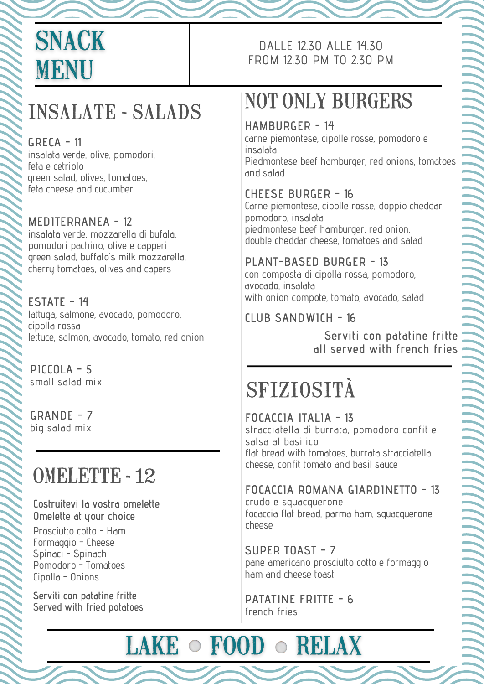# **SNACK MENU**

#### DALLE 12.30 ALLE 14.30 FROM 12.30 PM TO 2.30 PM

# INSALATE - SALADS

**GRECA - 11** insalata verde, olive, pomodori, feta e cetriolo green salad, olives, tomatoes, feta cheese and cucumber

#### **MEDITERRANEA - 12**

insalata verde, mozzarella di bufala, pomodori pachino, olive e capperi green salad, buffalo's milk mozzarella, cherry tomatoes, olives and capers

**ESTATE - 14** lattuga, salmone, avocado, pomodoro, cipolla rossa lettuce, salmon, avocado, tomato, red onion

# NOT ONLY BURGERS

#### **HAMBURGER - 14**

carne piemontese, cipolle rosse, pomodoro e insalata

Piedmontese beef hamburger, red onions, tomatoes and salad

#### **PLANT-BASED BURGER - 13**

con composta di cipolla rossa, pomodoro, avocado, insalata with onion compote, tomato, avocado, salad

#### **CHEESE BURGER - 16**

Carne piemontese, cipolle rosse, doppio cheddar, pomodoro, insalata piedmontese beef hamburger, red onion, double cheddar cheese, tomatoes and salad

**PICCOLA - 5** small salad mix

**GRANDE - 7** big salad mix

### OMELETTE - 12

**Costruitevi la vostra omelette Omelette at your choice**

Prosciutto cotto - Ham Formaggio - Cheese Spinaci - Spinach Pomodoro - Tomatoes Cipolla - Onions

**Serviti con patatine fritte Served with fried potatoes** **CLUB SANDWICH - 16**

**Serviti con patatine fritte all served with french fries**

# SFIZIOSITÀ

#### **FOCACCIA ITALIA - 13**

stracciatella di burrata, pomodoro confit e salsa al basilico flat bread with tomatoes, burrata stracciatella cheese, confit tomato and basil sauce

### **FOCACCIA ROMANA GIARDINETTO - 13**

crudo e squacquerone focaccia flat bread, parma ham, squacquerone

#### cheese

#### **SUPER TOAST - 7** pane americano prosciutto cotto e formaggio ham and cheese toast

**PATATINE FRITTE - 6** french fries